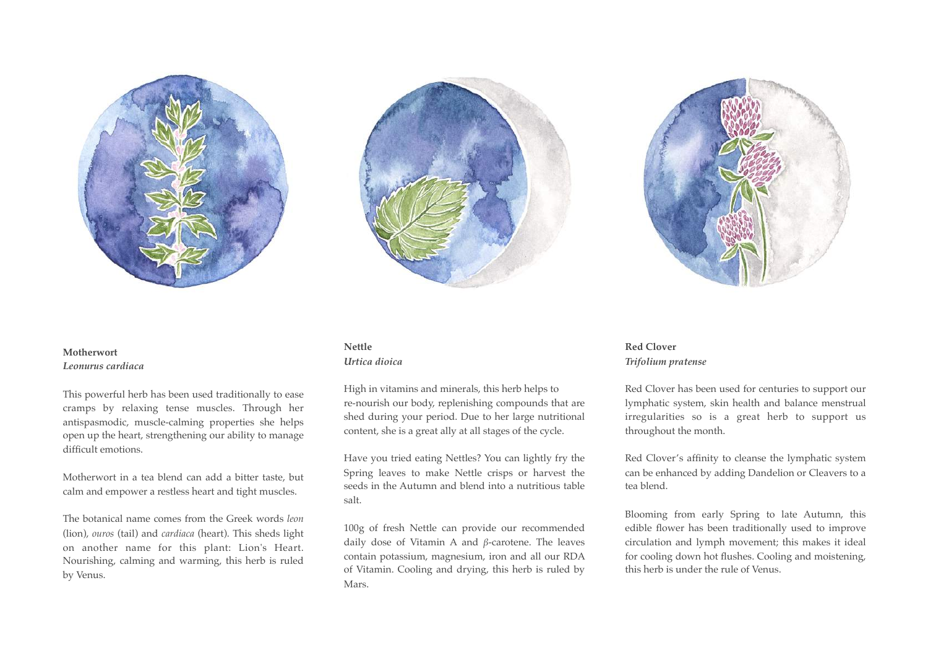





## **Motherwort** *Leonurus cardiaca*

This powerful herb has been used traditionally to ease cramps by relaxing tense muscles. Through her antispasmodic, muscle-calming properties she helps open up the heart, strengthening our ability to manage difficult emotions.

Motherwort in a tea blend can add a bitter taste, but calm and empower a restless heart and tight muscles.

The botanical name comes from the Greek words *leon* (lion), *ouros* (tail) and *cardiaca* (heart). This sheds light on another name for this plant: Lion's Heart. Nourishing, calming and warming, this herb is ruled by Venus.

# **Nettle**

#### *Urtica dioica*

High in vitamins and minerals, this herb helps to re-nourish our body, replenishing compounds that are shed during your period. Due to her large nutritional content, she is a great ally at all stages of the cycle.

Have you tried eating Nettles? You can lightly fry the Spring leaves to make Nettle crisps or harvest the seeds in the Autumn and blend into a nutritious table salt.

100g of fresh Nettle can provide our recommended daily dose of Vitamin A and *β*-carotene. The leaves contain potassium, magnesium, iron and all our RDA of Vitamin. Cooling and drying, this herb is ruled by Mars.

## **Red Clover** *Trifolium pratense*

Red Clover has been used for centuries to support our lymphatic system, skin health and balance menstrual irregularities so is a great herb to support us throughout the month.

Red Clover's affinity to cleanse the lymphatic system can be enhanced by adding Dandelion or Cleavers to a tea blend.

Blooming from early Spring to late Autumn, this edible flower has been traditionally used to improve circulation and lymph movement; this makes it ideal for cooling down hot flushes. Cooling and moistening, this herb is under the rule of Venus.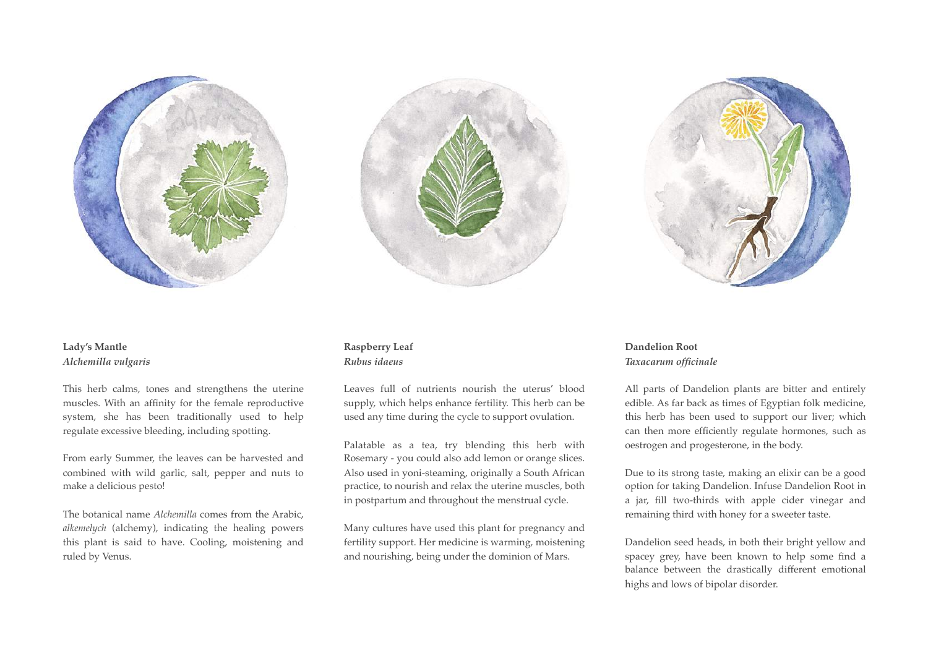





## **Lady's Mantle** *Alchemilla vulgaris*

This herb calms, tones and strengthens the uterine muscles. With an affinity for the female reproductive system, she has been traditionally used to help regulate excessive bleeding, including spotting.

From early Summer, the leaves can be harvested and combined with wild garlic, salt, pepper and nuts to make a delicious pesto!

The botanical name *Alchemilla* comes from the Arabic, *alkemelych* (alchemy), indicating the healing powers this plant is said to have. Cooling, moistening and ruled by Venus.

## **Raspberry Leaf**  *Rubus idaeus*

Leaves full of nutrients nourish the uterus' blood supply, which helps enhance fertility. This herb can be used any time during the cycle to support ovulation.

Palatable as a tea, try blending this herb with Rosemary - you could also add lemon or orange slices. Also used in yoni-steaming, originally a South African practice, to nourish and relax the uterine muscles, both in postpartum and throughout the menstrual cycle.

Many cultures have used this plant for pregnancy and fertility support. Her medicine is warming, moistening and nourishing, being under the dominion of Mars.

### **Dandelion Root**  *Taxacarum officinale*

All parts of Dandelion plants are bitter and entirely edible. As far back as times of Egyptian folk medicine, this herb has been used to support our liver; which can then more efficiently regulate hormones, such as oestrogen and progesterone, in the body.

Due to its strong taste, making an elixir can be a good option for taking Dandelion. Infuse Dandelion Root in a jar, fill two-thirds with apple cider vinegar and remaining third with honey for a sweeter taste.

Dandelion seed heads, in both their bright yellow and spacey grey, have been known to help some find a balance between the drastically different emotional highs and lows of bipolar disorder.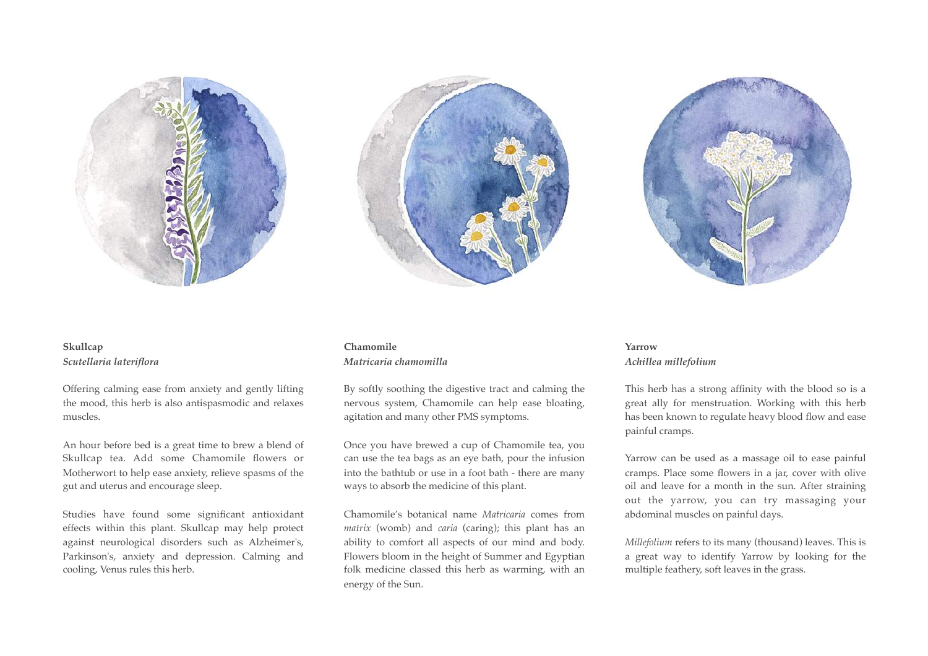





# **Skullcap**  *Scutellaria lateriflora*

Offering calming ease from anxiety and gently lifting the mood, this herb is also antispasmodic and relaxes muscles.

An hour before bed is a great time to brew a blend of Skullcap tea. Add some Chamomile flowers or Motherwort to help ease anxiety, relieve spasms of the gut and uterus and encourage sleep.

Studies have found some significant antioxidant effects within this plant. Skullcap may help protect against neurological disorders such as Alzheimer's, Parkinson's, anxiety and depression. Calming and cooling, Venus rules this herb.

## **Chamomile**  *Matricaria chamomilla*

By softly soothing the digestive tract and calming the nervous system, Chamomile can help ease bloating, agitation and many other PMS symptoms.

Once you have brewed a cup of Chamomile tea, you can use the tea bags as an eye bath, pour the infusion into the bathtub or use in a foot bath - there are many ways to absorb the medicine of this plant.

Chamomile's botanical name *Matricaria* comes from *matrix* (womb) and *caria* (caring); this plant has an ability to comfort all aspects of our mind and body. Flowers bloom in the height of Summer and Egyptian folk medicine classed this herb as warming, with an energy of the Sun.

### **Yarrow** *Achillea millefolium*

This herb has a strong affinity with the blood so is a great ally for menstruation. Working with this herb has been known to regulate heavy blood flow and ease painful cramps.

Yarrow can be used as a massage oil to ease painful cramps. Place some flowers in a jar, cover with olive oil and leave for a month in the sun. After straining out the yarrow, you can try massaging your abdominal muscles on painful days.

*Millefolium* refers to its many (thousand) leaves. This is a great way to identify Yarrow by looking for the multiple feathery, soft leaves in the grass.